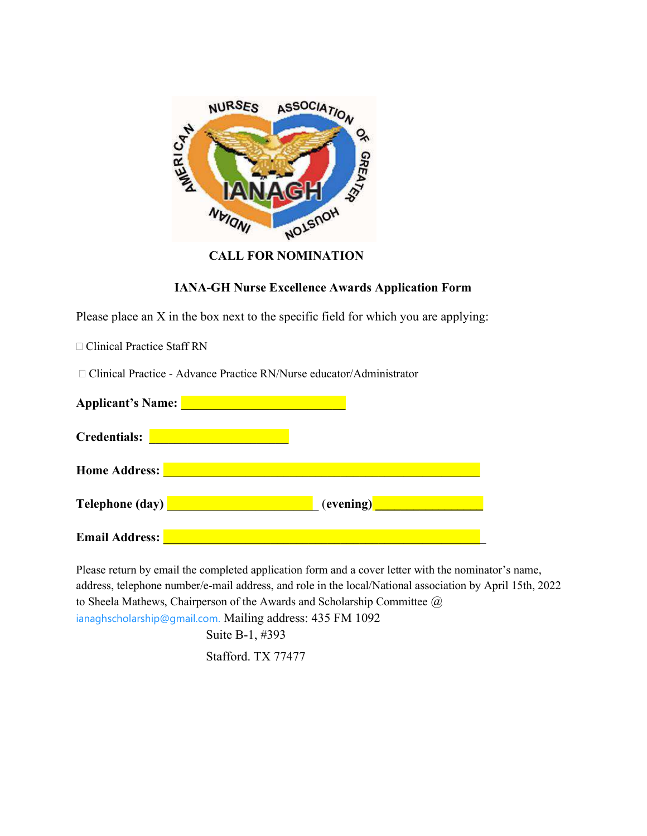

## CALL FOR NOMINATION

## IANA-GH Nurse Excellence Awards Application Form

Please place an X in the box next to the specific field for which you are applying:

□ Clinical Practice Staff RN

□ Clinical Practice - Advance Practice RN/Nurse educator/Administrator

| <b>Applicant's Name:</b> |           |
|--------------------------|-----------|
| <b>Credentials:</b>      |           |
| <b>Home Address:</b>     |           |
| <b>Telephone (day)</b>   | (evening) |
| <b>Email Address:</b>    |           |

Please return by email the completed application form and a cover letter with the nominator's name, address, telephone number/e-mail address, and role in the local/National association by April 15th, 2022 to Sheela Mathews, Chairperson of the Awards and Scholarship Committee @ ianaghscholarship@gmail.com. Mailing address: 435 FM 1092 Suite B-1, #393

Stafford. TX 77477